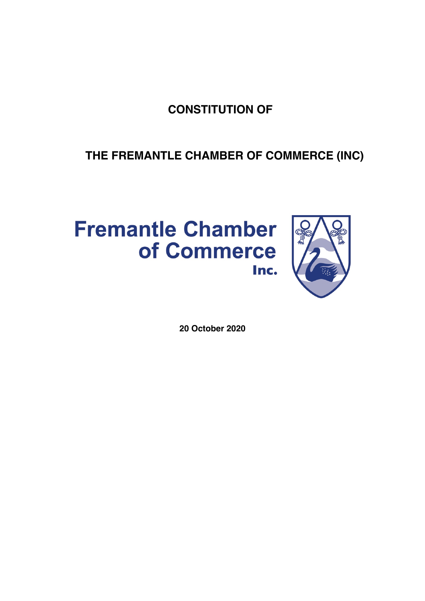# **CONSTITUTION OF**

# **THE FREMANTLE CHAMBER OF COMMERCE (INC)**



# **Fremantle Chamber** of Commerce Inc.

**20 October 2020**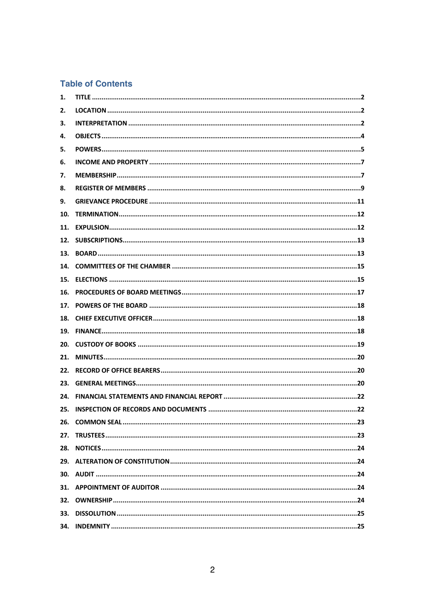# **Table of Contents**

| 17. |
|-----|
|     |
|     |
|     |
|     |
|     |
| 23. |
|     |
|     |
|     |
|     |
|     |
|     |
|     |
|     |
|     |
|     |
|     |
|     |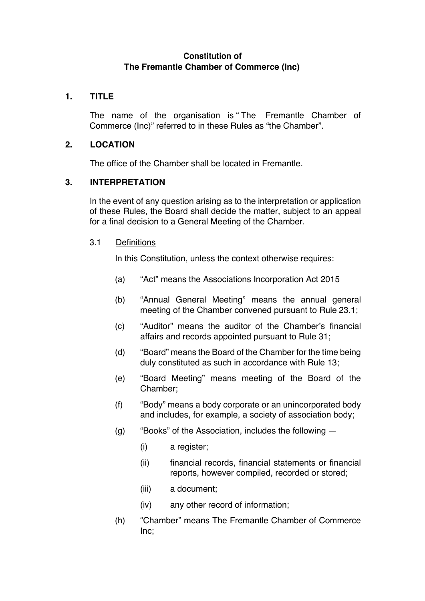# **Constitution of The Fremantle Chamber of Commerce (Inc)**

# **1. TITLE**

The name of the organisation is " The Fremantle Chamber of Commerce (Inc)" referred to in these Rules as "the Chamber".

# **2. LOCATION**

The office of the Chamber shall be located in Fremantle.

# **3. INTERPRETATION**

In the event of any question arising as to the interpretation or application of these Rules, the Board shall decide the matter, subject to an appeal for a final decision to a General Meeting of the Chamber.

#### 3.1 Definitions

In this Constitution, unless the context otherwise requires:

- (a) "Act" means the Associations Incorporation Act 2015
- (b) "Annual General Meeting" means the annual general meeting of the Chamber convened pursuant to Rule 23.1;
- (c) "Auditor" means the auditor of the Chamber's financial affairs and records appointed pursuant to Rule 31;
- (d) "Board" means the Board of the Chamber for the time being duly constituted as such in accordance with Rule 13;
- (e) "Board Meeting" means meeting of the Board of the Chamber;
- (f) "Body" means a body corporate or an unincorporated body and includes, for example, a society of association body;
- (g) "Books" of the Association, includes the following
	- (i) a register;
	- (ii) financial records, financial statements or financial reports, however compiled, recorded or stored;
	- (iii) a document;
	- (iv) any other record of information;
- (h) "Chamber" means The Fremantle Chamber of Commerce Inc;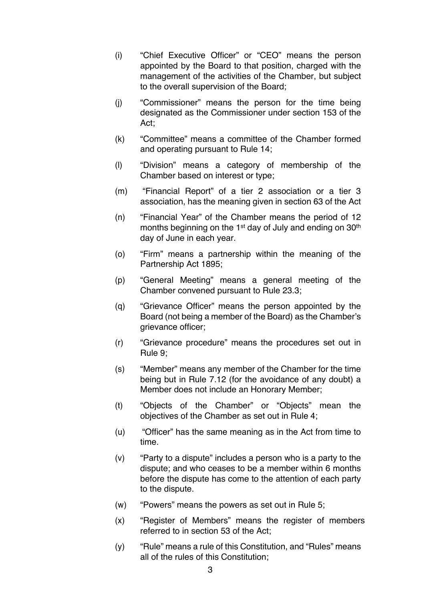- (i) "Chief Executive Officer" or "CEO" means the person appointed by the Board to that position, charged with the management of the activities of the Chamber, but subject to the overall supervision of the Board;
- (j) "Commissioner" means the person for the time being designated as the Commissioner under section 153 of the Act;
- (k) "Committee" means a committee of the Chamber formed and operating pursuant to Rule 14;
- (l) "Division" means a category of membership of the Chamber based on interest or type;
- (m) "Financial Report" of a tier 2 association or a tier 3 association, has the meaning given in section 63 of the Act
- (n) "Financial Year" of the Chamber means the period of 12 months beginning on the  $1<sup>st</sup>$  day of July and ending on  $30<sup>th</sup>$ day of June in each year.
- (o) "Firm" means a partnership within the meaning of the Partnership Act 1895;
- (p) "General Meeting" means a general meeting of the Chamber convened pursuant to Rule 23.3;
- (q) "Grievance Officer" means the person appointed by the Board (not being a member of the Board) as the Chamber's grievance officer;
- (r) "Grievance procedure" means the procedures set out in Rule 9;
- (s) "Member" means any member of the Chamber for the time being but in Rule 7.12 (for the avoidance of any doubt) a Member does not include an Honorary Member;
- (t) "Objects of the Chamber" or "Objects" mean the objectives of the Chamber as set out in Rule 4;
- (u) "Officer" has the same meaning as in the Act from time to time.
- (v) "Party to a dispute" includes a person who is a party to the dispute; and who ceases to be a member within 6 months before the dispute has come to the attention of each party to the dispute.
- (w) "Powers" means the powers as set out in Rule 5;
- (x) "Register of Members" means the register of members referred to in section 53 of the Act;
- (y) "Rule" means a rule of this Constitution, and "Rules" means all of the rules of this Constitution;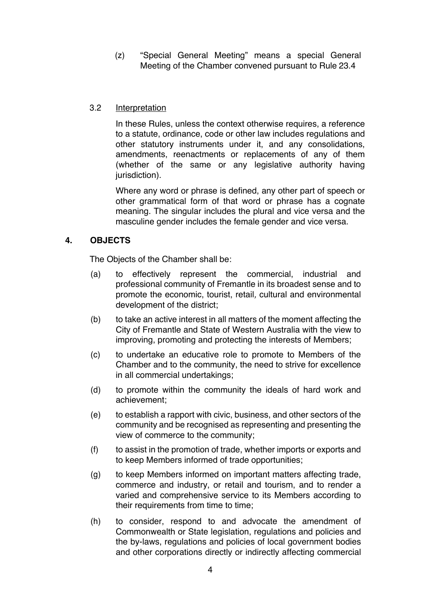(z) "Special General Meeting" means a special General Meeting of the Chamber convened pursuant to Rule 23.4

# 3.2 Interpretation

In these Rules, unless the context otherwise requires, a reference to a statute, ordinance, code or other law includes regulations and other statutory instruments under it, and any consolidations, amendments, reenactments or replacements of any of them (whether of the same or any legislative authority having jurisdiction).

Where any word or phrase is defined, any other part of speech or other grammatical form of that word or phrase has a cognate meaning. The singular includes the plural and vice versa and the masculine gender includes the female gender and vice versa.

# **4. OBJECTS**

The Objects of the Chamber shall be:

- (a) to effectively represent the commercial, industrial and professional community of Fremantle in its broadest sense and to promote the economic, tourist, retail*,* cultural and environmental development of the district;
- (b) to take an active interest in all matters of the moment affecting the City of Fremantle and State of Western Australia with the view to improving, promoting and protecting the interests of Members;
- (c) to undertake an educative role to promote to Members of the Chamber and to the community, the need to strive for excellence in all commercial undertakings;
- (d) to promote within the community the ideals of hard work and achievement;
- (e) to establish a rapport with civic, business, and other sectors of the community and be recognised as representing and presenting the view of commerce to the community;
- (f) to assist in the promotion of trade, whether imports or exports and to keep Members informed of trade opportunities;
- (g) to keep Members informed on important matters affecting trade, commerce and industry, or retail and tourism, and to render a varied and comprehensive service to its Members according to their requirements from time to time;
- (h) to consider, respond to and advocate the amendment of Commonwealth or State legislation, regulations and policies and the by-laws, regulations and policies of local government bodies and other corporations directly or indirectly affecting commercial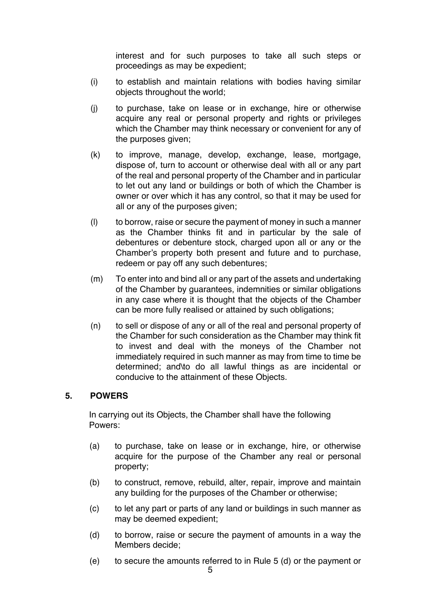interest and for such purposes to take all such steps or proceedings as may be expedient;

- (i) to establish and maintain relations with bodies having similar objects throughout the world;
- (j) to purchase, take on lease or in exchange, hire or otherwise acquire any real or personal property and rights or privileges which the Chamber may think necessary or convenient for any of the purposes given;
- (k) to improve, manage, develop, exchange, lease, mortgage, dispose of, turn to account or otherwise deal with all or any part of the real and personal property of the Chamber and in particular to let out any land or buildings or both of which the Chamber is owner or over which it has any control, so that it may be used for all or any of the purposes given;
- (l) to borrow, raise or secure the payment of money in such a manner as the Chamber thinks fit and in particular by the sale of debentures or debenture stock, charged upon all or any or the Chamber's property both present and future and to purchase, redeem or pay off any such debentures;
- (m) To enter into and bind all or any part of the assets and undertaking of the Chamber by guarantees, indemnities or similar obligations in any case where it is thought that the objects of the Chamber can be more fully realised or attained by such obligations;
- (n) to sell or dispose of any or all of the real and personal property of the Chamber for such consideration as the Chamber may think fit to invest and deal with the moneys of the Chamber not immediately required in such manner as may from time to time be determined; and\to do all lawful things as are incidental or conducive to the attainment of these Objects.

#### **5. POWERS**

In carrying out its Objects, the Chamber shall have the following Powers:

- (a) to purchase, take on lease or in exchange, hire, or otherwise acquire for the purpose of the Chamber any real or personal property;
- (b) to construct, remove, rebuild, alter, repair, improve and maintain any building for the purposes of the Chamber or otherwise;
- (c) to let any part or parts of any land or buildings in such manner as may be deemed expedient;
- (d) to borrow, raise or secure the payment of amounts in a way the Members decide;
- (e) to secure the amounts referred to in Rule 5 (d) or the payment or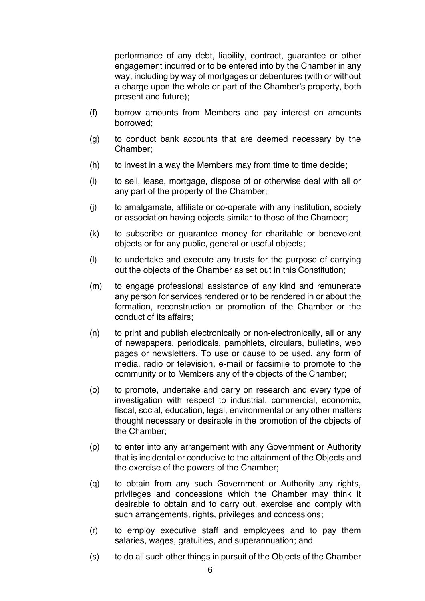performance of any debt, liability, contract, guarantee or other engagement incurred or to be entered into by the Chamber in any way, including by way of mortgages or debentures (with or without a charge upon the whole or part of the Chamber's property, both present and future);

- (f) borrow amounts from Members and pay interest on amounts borrowed;
- (g) to conduct bank accounts that are deemed necessary by the Chamber;
- (h) to invest in a way the Members may from time to time decide;
- (i) to sell, lease, mortgage, dispose of or otherwise deal with all or any part of the property of the Chamber;
- (j) to amalgamate, affiliate or co-operate with any institution, society or association having objects similar to those of the Chamber;
- (k) to subscribe or guarantee money for charitable or benevolent objects or for any public, general or useful objects;
- (l) to undertake and execute any trusts for the purpose of carrying out the objects of the Chamber as set out in this Constitution;
- (m) to engage professional assistance of any kind and remunerate any person for services rendered or to be rendered in or about the formation, reconstruction or promotion of the Chamber or the conduct of its affairs;
- (n) to print and publish electronically or non-electronically, all or any of newspapers, periodicals, pamphlets, circulars, bulletins, web pages or newsletters. To use or cause to be used, any form of media, radio or television, e-mail or facsimile to promote to the community or to Members any of the objects of the Chamber;
- (o) to promote, undertake and carry on research and every type of investigation with respect to industrial, commercial, economic, fiscal, social, education, legal, environmental or any other matters thought necessary or desirable in the promotion of the objects of the Chamber;
- (p) to enter into any arrangement with any Government or Authority that is incidental or conducive to the attainment of the Objects and the exercise of the powers of the Chamber;
- (q) to obtain from any such Government or Authority any rights, privileges and concessions which the Chamber may think it desirable to obtain and to carry out, exercise and comply with such arrangements, rights, privileges and concessions;
- (r) to employ executive staff and employees and to pay them salaries, wages, gratuities, and superannuation; and
- (s) to do all such other things in pursuit of the Objects of the Chamber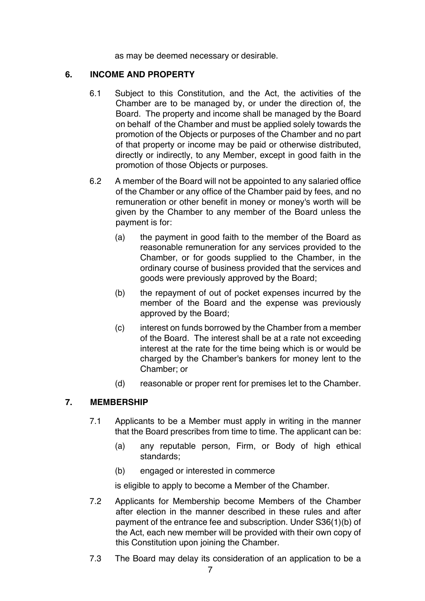as may be deemed necessary or desirable.

#### **6. INCOME AND PROPERTY**

- 6.1 Subject to this Constitution, and the Act, the activities of the Chamber are to be managed by, or under the direction of, the Board. The property and income shall be managed by the Board on behalf of the Chamber and must be applied solely towards the promotion of the Objects or purposes of the Chamber and no part of that property or income may be paid or otherwise distributed, directly or indirectly, to any Member, except in good faith in the promotion of those Objects or purposes.
- 6.2 A member of the Board will not be appointed to any salaried office of the Chamber or any office of the Chamber paid by fees, and no remuneration or other benefit in money or money's worth will be given by the Chamber to any member of the Board unless the payment is for:
	- (a) the payment in good faith to the member of the Board as reasonable remuneration for any services provided to the Chamber, or for goods supplied to the Chamber, in the ordinary course of business provided that the services and goods were previously approved by the Board;
	- (b) the repayment of out of pocket expenses incurred by the member of the Board and the expense was previously approved by the Board;
	- (c) interest on funds borrowed by the Chamber from a member of the Board. The interest shall be at a rate not exceeding interest at the rate for the time being which is or would be charged by the Chamber's bankers for money lent to the Chamber; or
	- (d) reasonable or proper rent for premises let to the Chamber.

# **7. MEMBERSHIP**

- 7.1 Applicants to be a Member must apply in writing in the manner that the Board prescribes from time to time. The applicant can be:
	- (a) any reputable person, Firm, or Body of high ethical standards;
	- (b) engaged or interested in commerce

is eligible to apply to become a Member of the Chamber.

- 7.2 Applicants for Membership become Members of the Chamber after election in the manner described in these rules and after payment of the entrance fee and subscription. Under S36(1)(b) of the Act, each new member will be provided with their own copy of this Constitution upon joining the Chamber.
- 7.3 The Board may delay its consideration of an application to be a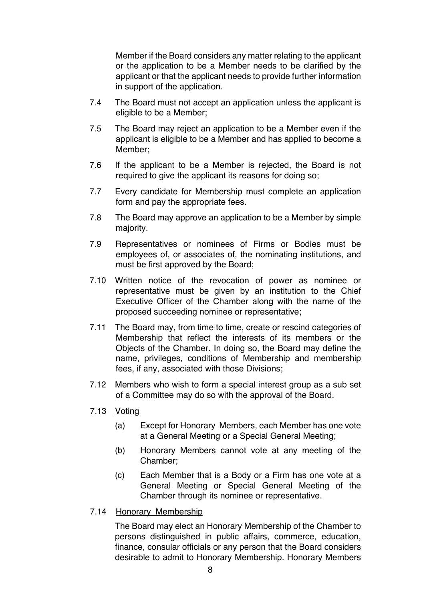Member if the Board considers any matter relating to the applicant or the application to be a Member needs to be clarified by the applicant or that the applicant needs to provide further information in support of the application.

- 7.4 The Board must not accept an application unless the applicant is eligible to be a Member;
- 7.5 The Board may reject an application to be a Member even if the applicant is eligible to be a Member and has applied to become a Member;
- 7.6 If the applicant to be a Member is rejected, the Board is not required to give the applicant its reasons for doing so;
- 7.7 Every candidate for Membership must complete an application form and pay the appropriate fees.
- 7.8 The Board may approve an application to be a Member by simple majority.
- 7.9 Representatives or nominees of Firms or Bodies must be employees of, or associates of, the nominating institutions, and must be first approved by the Board;
- 7.10 Written notice of the revocation of power as nominee or representative must be given by an institution to the Chief Executive Officer of the Chamber along with the name of the proposed succeeding nominee or representative;
- 7.11 The Board may, from time to time, create or rescind categories of Membership that reflect the interests of its members or the Objects of the Chamber. In doing so, the Board may define the name, privileges, conditions of Membership and membership fees, if any, associated with those Divisions;
- 7.12 Members who wish to form a special interest group as a sub set of a Committee may do so with the approval of the Board.
- 7.13 Voting
	- (a) Except for Honorary Members, each Member has one vote at a General Meeting or a Special General Meeting;
	- (b) Honorary Members cannot vote at any meeting of the Chamber;
	- (c) Each Member that is a Body or a Firm has one vote at a General Meeting or Special General Meeting of the Chamber through its nominee or representative.
- 7.14 Honorary Membership

The Board may elect an Honorary Membership of the Chamber to persons distinguished in public affairs, commerce, education, finance, consular officials or any person that the Board considers desirable to admit to Honorary Membership. Honorary Members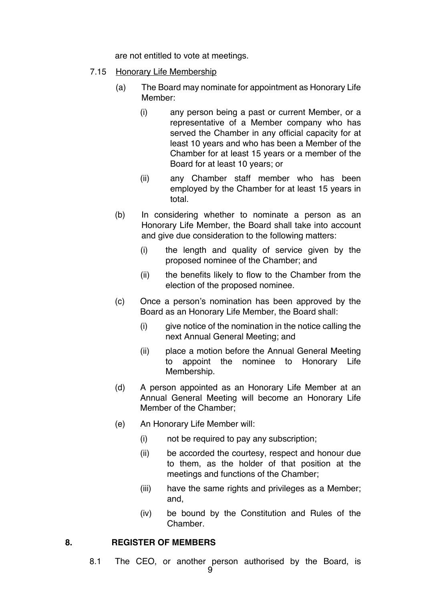are not entitled to vote at meetings.

- 7.15 Honorary Life Membership
	- (a) The Board may nominate for appointment as Honorary Life Member:
		- (i) any person being a past or current Member, or a representative of a Member company who has served the Chamber in any official capacity for at least 10 years and who has been a Member of the Chamber for at least 15 years or a member of the Board for at least 10 years; or
		- (ii) any Chamber staff member who has been employed by the Chamber for at least 15 years in total.
	- (b) In considering whether to nominate a person as an Honorary Life Member, the Board shall take into account and give due consideration to the following matters:
		- (i) the length and quality of service given by the proposed nominee of the Chamber; and
		- (ii) the benefits likely to flow to the Chamber from the election of the proposed nominee.
	- (c) Once a person's nomination has been approved by the Board as an Honorary Life Member, the Board shall:
		- (i) give notice of the nomination in the notice calling the next Annual General Meeting; and
		- (ii) place a motion before the Annual General Meeting to appoint the nominee to Honorary Life Membership.
	- (d) A person appointed as an Honorary Life Member at an Annual General Meeting will become an Honorary Life Member of the Chamber;
	- (e) An Honorary Life Member will:
		- (i) not be required to pay any subscription;
		- (ii) be accorded the courtesy, respect and honour due to them, as the holder of that position at the meetings and functions of the Chamber;
		- (iii) have the same rights and privileges as a Member; and,
		- (iv) be bound by the Constitution and Rules of the **Chamber**

#### **8. REGISTER OF MEMBERS**

8.1 The CEO, or another person authorised by the Board, is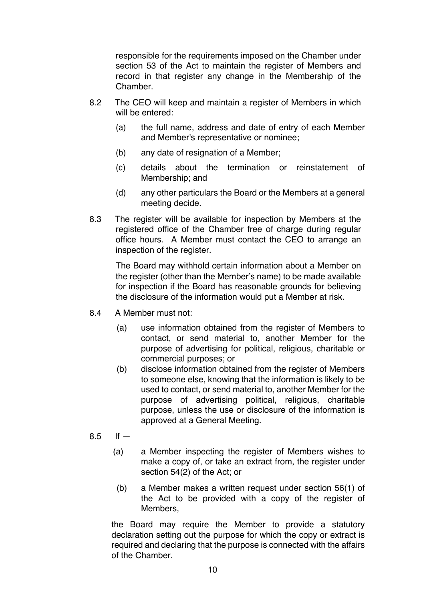responsible for the requirements imposed on the Chamber under section 53 of the Act to maintain the register of Members and record in that register any change in the Membership of the **Chamber** 

- 8.2 The CEO will keep and maintain a register of Members in which will be entered:
	- (a) the full name, address and date of entry of each Member and Member's representative or nominee;
	- (b) any date of resignation of a Member;
	- (c) details about the termination or reinstatement of Membership; and
	- (d) any other particulars the Board or the Members at a general meeting decide.
- 8.3 The register will be available for inspection by Members at the registered office of the Chamber free of charge during regular office hours. A Member must contact the CEO to arrange an inspection of the register.

The Board may withhold certain information about a Member on the register (other than the Member's name) to be made available for inspection if the Board has reasonable grounds for believing the disclosure of the information would put a Member at risk.

- 8.4 A Member must not:
	- (a) use information obtained from the register of Members to contact, or send material to, another Member for the purpose of advertising for political, religious, charitable or commercial purposes; or
	- (b) disclose information obtained from the register of Members to someone else, knowing that the information is likely to be used to contact, or send material to, another Member for the purpose of advertising political, religious, charitable purpose, unless the use or disclosure of the information is approved at a General Meeting.
- $8.5$  If  $-$ 
	- (a) a Member inspecting the register of Members wishes to make a copy of, or take an extract from, the register under section 54(2) of the Act; or
	- (b) a Member makes a written request under section 56(1) of the Act to be provided with a copy of the register of Members,

the Board may require the Member to provide a statutory declaration setting out the purpose for which the copy or extract is required and declaring that the purpose is connected with the affairs of the Chamber.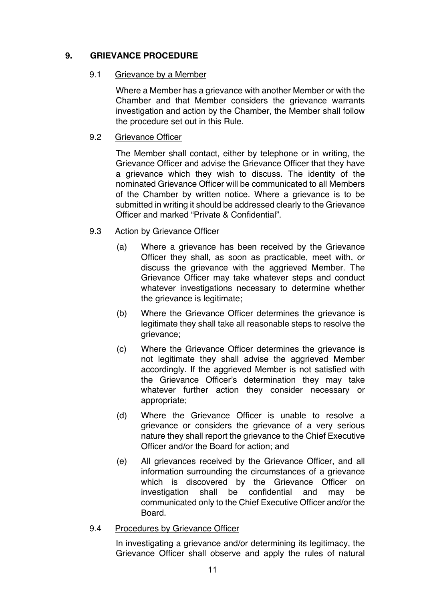# **9. GRIEVANCE PROCEDURE**

#### 9.1 Grievance by a Member

Where a Member has a grievance with another Member or with the Chamber and that Member considers the grievance warrants investigation and action by the Chamber, the Member shall follow the procedure set out in this Rule.

#### 9.2 Grievance Officer

The Member shall contact, either by telephone or in writing, the Grievance Officer and advise the Grievance Officer that they have a grievance which they wish to discuss. The identity of the nominated Grievance Officer will be communicated to all Members of the Chamber by written notice. Where a grievance is to be submitted in writing it should be addressed clearly to the Grievance Officer and marked "Private & Confidential".

# 9.3 Action by Grievance Officer

- (a) Where a grievance has been received by the Grievance Officer they shall, as soon as practicable, meet with, or discuss the grievance with the aggrieved Member. The Grievance Officer may take whatever steps and conduct whatever investigations necessary to determine whether the grievance is legitimate;
- (b) Where the Grievance Officer determines the grievance is legitimate they shall take all reasonable steps to resolve the grievance;
- (c) Where the Grievance Officer determines the grievance is not legitimate they shall advise the aggrieved Member accordingly. If the aggrieved Member is not satisfied with the Grievance Officer's determination they may take whatever further action they consider necessary or appropriate;
- (d) Where the Grievance Officer is unable to resolve a grievance or considers the grievance of a very serious nature they shall report the grievance to the Chief Executive Officer and/or the Board for action; and
- (e) All grievances received by the Grievance Officer, and all information surrounding the circumstances of a grievance which is discovered by the Grievance Officer on investigation shall be confidential and may be communicated only to the Chief Executive Officer and/or the Board.
- 9.4 Procedures by Grievance Officer

In investigating a grievance and/or determining its legitimacy, the Grievance Officer shall observe and apply the rules of natural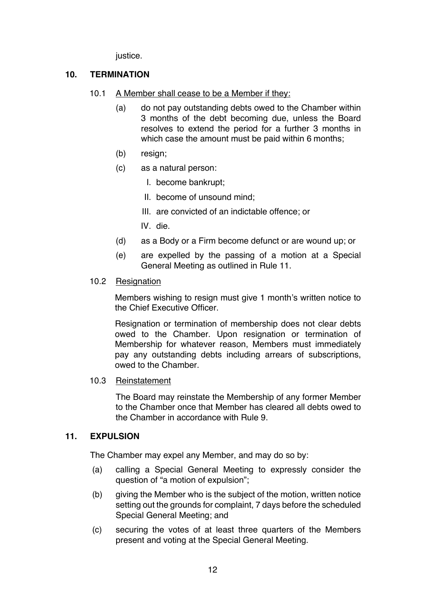justice.

# **10. TERMINATION**

- 10.1 A Member shall cease to be a Member if they:
	- (a) do not pay outstanding debts owed to the Chamber within 3 months of the debt becoming due, unless the Board resolves to extend the period for a further 3 months in which case the amount must be paid within 6 months;
	- (b) resign;
	- (c) as a natural person:
		- I. become bankrupt;
		- II. become of unsound mind;
		- III. are convicted of an indictable offence; or
		- IV. die.
	- (d) as a Body or a Firm become defunct or are wound up; or
	- (e) are expelled by the passing of a motion at a Special General Meeting as outlined in Rule 11.

#### 10.2 Resignation

Members wishing to resign must give 1 month's written notice to the Chief Executive Officer.

Resignation or termination of membership does not clear debts owed to the Chamber. Upon resignation or termination of Membership for whatever reason, Members must immediately pay any outstanding debts including arrears of subscriptions, owed to the Chamber.

10.3 Reinstatement

The Board may reinstate the Membership of any former Member to the Chamber once that Member has cleared all debts owed to the Chamber in accordance with Rule 9.

#### **11. EXPULSION**

The Chamber may expel any Member, and may do so by:

- (a) calling a Special General Meeting to expressly consider the question of "a motion of expulsion";
- (b) giving the Member who is the subject of the motion, written notice setting out the grounds for complaint, 7 days before the scheduled Special General Meeting; and
- (c) securing the votes of at least three quarters of the Members present and voting at the Special General Meeting.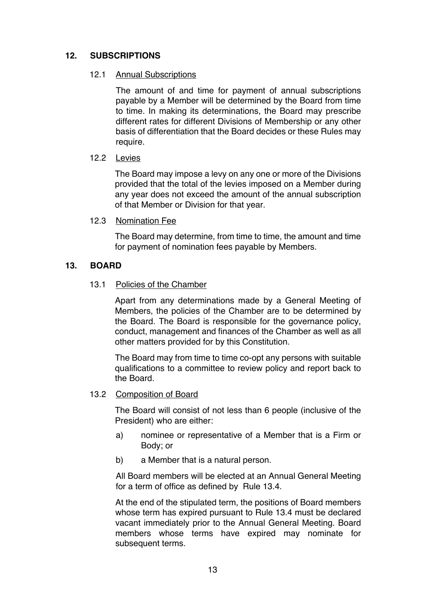# **12. SUBSCRIPTIONS**

#### 12.1 Annual Subscriptions

The amount of and time for payment of annual subscriptions payable by a Member will be determined by the Board from time to time. In making its determinations, the Board may prescribe different rates for different Divisions of Membership or any other basis of differentiation that the Board decides or these Rules may require.

#### 12.2 Levies

The Board may impose a levy on any one or more of the Divisions provided that the total of the levies imposed on a Member during any year does not exceed the amount of the annual subscription of that Member or Division for that year.

#### 12.3 Nomination Fee

The Board may determine, from time to time, the amount and time for payment of nomination fees payable by Members.

#### **13. BOARD**

#### 13.1 Policies of the Chamber

Apart from any determinations made by a General Meeting of Members, the policies of the Chamber are to be determined by the Board. The Board is responsible for the governance policy, conduct, management and finances of the Chamber as well as all other matters provided for by this Constitution.

The Board may from time to time co-opt any persons with suitable qualifications to a committee to review policy and report back to the Board.

#### 13.2 Composition of Board

The Board will consist of not less than 6 people (inclusive of the President) who are either:

- a) nominee or representative of a Member that is a Firm or Body; or
- b) a Member that is a natural person.

All Board members will be elected at an Annual General Meeting for a term of office as defined by Rule 13.4.

At the end of the stipulated term, the positions of Board members whose term has expired pursuant to Rule 13.4 must be declared vacant immediately prior to the Annual General Meeting. Board members whose terms have expired may nominate for subsequent terms.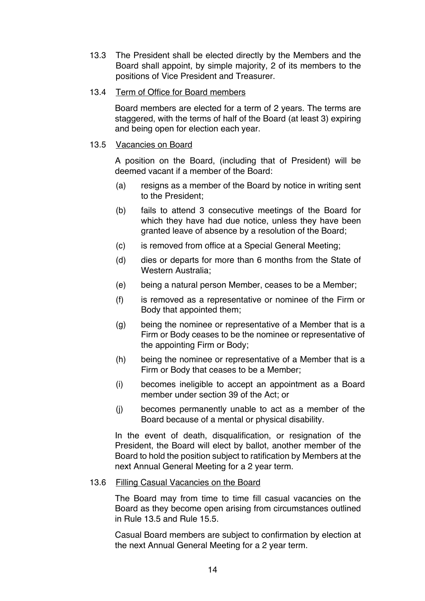13.3 The President shall be elected directly by the Members and the Board shall appoint, by simple majority, 2 of its members to the positions of Vice President and Treasurer.

#### 13.4 Term of Office for Board members

Board members are elected for a term of 2 years. The terms are staggered, with the terms of half of the Board (at least 3) expiring and being open for election each year.

#### 13.5 Vacancies on Board

A position on the Board, (including that of President) will be deemed vacant if a member of the Board:

- (a) resigns as a member of the Board by notice in writing sent to the President;
- (b) fails to attend 3 consecutive meetings of the Board for which they have had due notice, unless they have been granted leave of absence by a resolution of the Board;
- (c) is removed from office at a Special General Meeting;
- (d) dies or departs for more than 6 months from the State of Western Australia;
- (e) being a natural person Member, ceases to be a Member;
- (f) is removed as a representative or nominee of the Firm or Body that appointed them;
- (g) being the nominee or representative of a Member that is a Firm or Body ceases to be the nominee or representative of the appointing Firm or Body;
- (h) being the nominee or representative of a Member that is a Firm or Body that ceases to be a Member;
- (i) becomes ineligible to accept an appointment as a Board member under section 39 of the Act; or
- (j) becomes permanently unable to act as a member of the Board because of a mental or physical disability.

In the event of death, disqualification, or resignation of the President, the Board will elect by ballot, another member of the Board to hold the position subject to ratification by Members at the next Annual General Meeting for a 2 year term.

#### 13.6 Filling Casual Vacancies on the Board

The Board may from time to time fill casual vacancies on the Board as they become open arising from circumstances outlined in Rule 13.5 and Rule 15.5.

Casual Board members are subject to confirmation by election at the next Annual General Meeting for a 2 year term.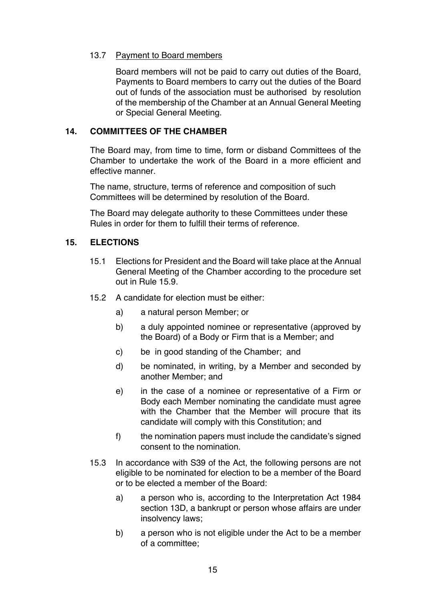#### 13.7 Payment to Board members

Board members will not be paid to carry out duties of the Board, Payments to Board members to carry out the duties of the Board out of funds of the association must be authorised by resolution of the membership of the Chamber at an Annual General Meeting or Special General Meeting.

# **14. COMMITTEES OF THE CHAMBER**

The Board may, from time to time, form or disband Committees of the Chamber to undertake the work of the Board in a more efficient and effective manner.

The name, structure, terms of reference and composition of such Committees will be determined by resolution of the Board.

The Board may delegate authority to these Committees under these Rules in order for them to fulfill their terms of reference.

# **15. ELECTIONS**

- 15.1 Elections for President and the Board will take place at the Annual General Meeting of the Chamber according to the procedure set out in Rule 15.9.
- 15.2 A candidate for election must be either:
	- a) a natural person Member; or
	- b) a duly appointed nominee or representative (approved by the Board) of a Body or Firm that is a Member; and
	- c) be in good standing of the Chamber; and
	- d) be nominated, in writing, by a Member and seconded by another Member; and
	- e) in the case of a nominee or representative of a Firm or Body each Member nominating the candidate must agree with the Chamber that the Member will procure that its candidate will comply with this Constitution; and
	- f) the nomination papers must include the candidate's signed consent to the nomination.
- 15.3 In accordance with S39 of the Act, the following persons are not eligible to be nominated for election to be a member of the Board or to be elected a member of the Board:
	- a) a person who is, according to the Interpretation Act 1984 section 13D, a bankrupt or person whose affairs are under insolvency laws;
	- b) a person who is not eligible under the Act to be a member of a committee;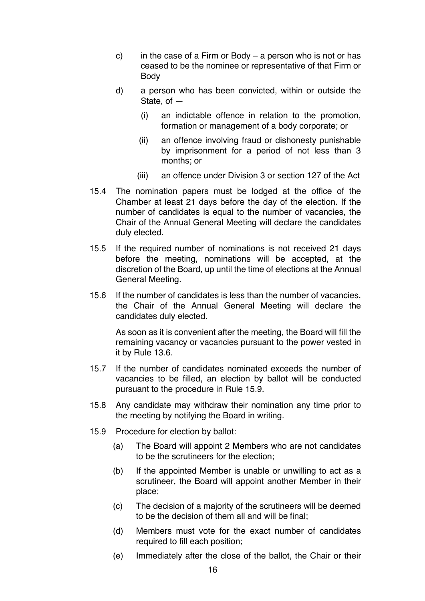- c) in the case of a Firm or Body a person who is not or has ceased to be the nominee or representative of that Firm or Body
- d) a person who has been convicted, within or outside the State, of —
	- (i) an indictable offence in relation to the promotion, formation or management of a body corporate; or
	- (ii) an offence involving fraud or dishonesty punishable by imprisonment for a period of not less than 3 months; or
	- (iii) an offence under Division 3 or section 127 of the Act
- 15.4 The nomination papers must be lodged at the office of the Chamber at least 21 days before the day of the election. If the number of candidates is equal to the number of vacancies, the Chair of the Annual General Meeting will declare the candidates duly elected.
- 15.5 If the required number of nominations is not received 21 days before the meeting, nominations will be accepted, at the discretion of the Board, up until the time of elections at the Annual General Meeting.
- 15.6 If the number of candidates is less than the number of vacancies, the Chair of the Annual General Meeting will declare the candidates duly elected.

As soon as it is convenient after the meeting, the Board will fill the remaining vacancy or vacancies pursuant to the power vested in it by Rule 13.6.

- 15.7 If the number of candidates nominated exceeds the number of vacancies to be filled, an election by ballot will be conducted pursuant to the procedure in Rule 15.9.
- 15.8 Any candidate may withdraw their nomination any time prior to the meeting by notifying the Board in writing.
- 15.9 Procedure for election by ballot:
	- (a) The Board will appoint 2 Members who are not candidates to be the scrutineers for the election;
	- (b) If the appointed Member is unable or unwilling to act as a scrutineer, the Board will appoint another Member in their place;
	- (c) The decision of a majority of the scrutineers will be deemed to be the decision of them all and will be final;
	- (d) Members must vote for the exact number of candidates required to fill each position;
	- (e) Immediately after the close of the ballot, the Chair or their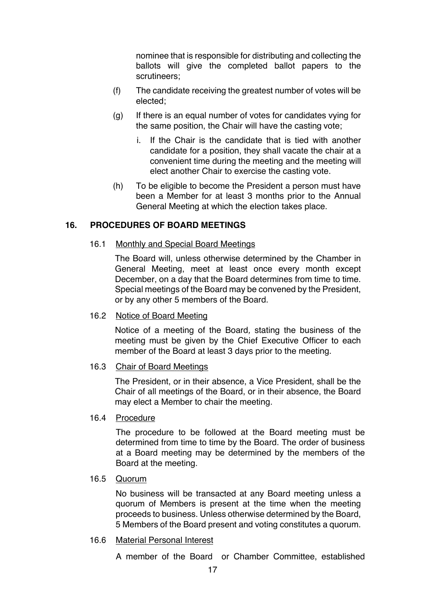nominee that is responsible for distributing and collecting the ballots will give the completed ballot papers to the scrutineers;

- (f) The candidate receiving the greatest number of votes will be elected;
- (g) If there is an equal number of votes for candidates vying for the same position, the Chair will have the casting vote;
	- i. If the Chair is the candidate that is tied with another candidate for a position, they shall vacate the chair at a convenient time during the meeting and the meeting will elect another Chair to exercise the casting vote.
- (h) To be eligible to become the President a person must have been a Member for at least 3 months prior to the Annual General Meeting at which the election takes place.

#### **16. PROCEDURES OF BOARD MEETINGS**

#### 16.1 Monthly and Special Board Meetings

The Board will, unless otherwise determined by the Chamber in General Meeting, meet at least once every month except December, on a day that the Board determines from time to time. Special meetings of the Board may be convened by the President, or by any other 5 members of the Board.

#### 16.2 Notice of Board Meeting

Notice of a meeting of the Board*,* stating the business of the meeting must be given by the Chief Executive Officer to each member of the Board at least 3 days prior to the meeting.

#### 16.3 Chair of Board Meetings

The President, or in their absence, a Vice President, shall be the Chair of all meetings of the Board, or in their absence, the Board may elect a Member to chair the meeting.

#### 16.4 Procedure

The procedure to be followed at the Board meeting must be determined from time to time by the Board. The order of business at a Board meeting may be determined by the members of the Board at the meeting.

#### 16.5 Quorum

No business will be transacted at any Board meeting unless a quorum of Members is present at the time when the meeting proceeds to business. Unless otherwise determined by the Board, 5 Members of the Board present and voting constitutes a quorum.

#### 16.6 Material Personal Interest

A member of the Board or Chamber Committee, established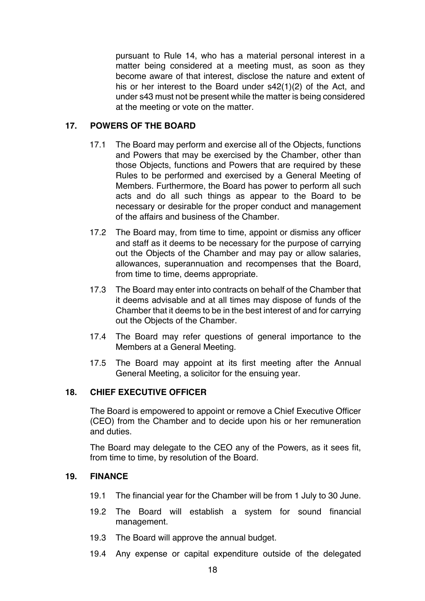pursuant to Rule 14, who has a material personal interest in a matter being considered at a meeting must, as soon as they become aware of that interest, disclose the nature and extent of his or her interest to the Board under s42(1)(2) of the Act, and under s43 must not be present while the matter is being considered at the meeting or vote on the matter.

# **17. POWERS OF THE BOARD**

- 17.1 The Board may perform and exercise all of the Objects, functions and Powers that may be exercised by the Chamber, other than those Objects, functions and Powers that are required by these Rules to be performed and exercised by a General Meeting of Members. Furthermore, the Board has power to perform all such acts and do all such things as appear to the Board to be necessary or desirable for the proper conduct and management of the affairs and business of the Chamber.
- 17.2 The Board may, from time to time, appoint or dismiss any officer and staff as it deems to be necessary for the purpose of carrying out the Objects of the Chamber and may pay or allow salaries, allowances, superannuation and recompenses that the Board, from time to time, deems appropriate.
- 17.3 The Board may enter into contracts on behalf of the Chamber that it deems advisable and at all times may dispose of funds of the Chamber that it deems to be in the best interest of and for carrying out the Objects of the Chamber.
- 17.4 The Board may refer questions of general importance to the Members at a General Meeting.
- 17.5 The Board may appoint at its first meeting after the Annual General Meeting, a solicitor for the ensuing year.

# **18. CHIEF EXECUTIVE OFFICER**

The Board is empowered to appoint or remove a Chief Executive Officer (CEO) from the Chamber and to decide upon his or her remuneration and duties.

The Board may delegate to the CEO any of the Powers, as it sees fit, from time to time, by resolution of the Board.

#### **19. FINANCE**

- 19.1 The financial year for the Chamber will be from 1 July to 30 June.
- 19.2 The Board will establish a system for sound financial management.
- 19.3 The Board will approve the annual budget.
- 19.4 Any expense or capital expenditure outside of the delegated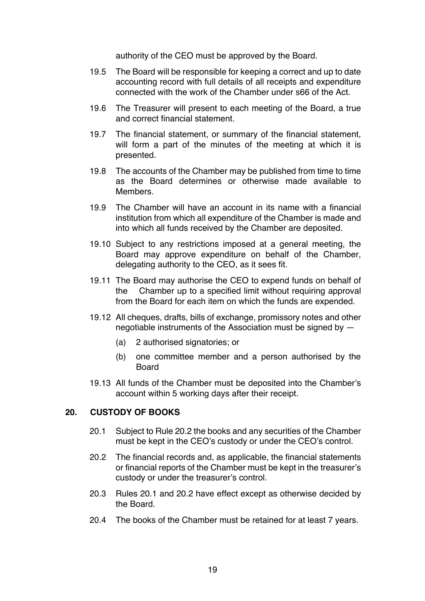authority of the CEO must be approved by the Board.

- 19.5 The Board will be responsible for keeping a correct and up to date accounting record with full details of all receipts and expenditure connected with the work of the Chamber under s66 of the Act.
- 19.6 The Treasurer will present to each meeting of the Board, a true and correct financial statement.
- 19.7 The financial statement, or summary of the financial statement, will form a part of the minutes of the meeting at which it is presented.
- 19.8 The accounts of the Chamber may be published from time to time as the Board determines or otherwise made available to Members.
- 19.9 The Chamber will have an account in its name with a financial institution from which all expenditure of the Chamber is made and into which all funds received by the Chamber are deposited.
- 19.10 Subject to any restrictions imposed at a general meeting, the Board may approve expenditure on behalf of the Chamber, delegating authority to the CEO, as it sees fit.
- 19.11 The Board may authorise the CEO to expend funds on behalf of the Chamber up to a specified limit without requiring approval from the Board for each item on which the funds are expended.
- 19.12 All cheques, drafts, bills of exchange, promissory notes and other negotiable instruments of the Association must be signed by —
	- (a) 2 authorised signatories; or
	- (b) one committee member and a person authorised by the Board
- 19.13 All funds of the Chamber must be deposited into the Chamber's account within 5 working days after their receipt.

#### **20. CUSTODY OF BOOKS**

- 20.1 Subject to Rule 20.2 the books and any securities of the Chamber must be kept in the CEO's custody or under the CEO's control.
- 20.2 The financial records and, as applicable, the financial statements or financial reports of the Chamber must be kept in the treasurer's custody or under the treasurer's control.
- 20.3 Rules 20.1 and 20.2 have effect except as otherwise decided by the Board.
- 20.4 The books of the Chamber must be retained for at least 7 years.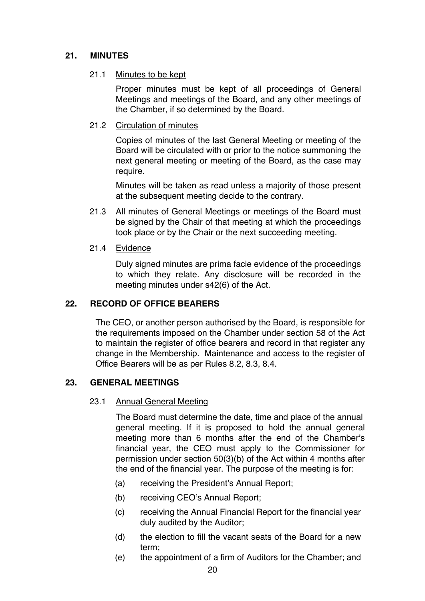# **21. MINUTES**

#### 21.1 Minutes to be kept

Proper minutes must be kept of all proceedings of General Meetings and meetings of the Board, and any other meetings of the Chamber, if so determined by the Board.

#### 21.2 Circulation of minutes

Copies of minutes of the last General Meeting or meeting of the Board will be circulated with or prior to the notice summoning the next general meeting or meeting of the Board, as the case may require.

Minutes will be taken as read unless a majority of those present at the subsequent meeting decide to the contrary.

- 21.3 All minutes of General Meetings or meetings of the Board must be signed by the Chair of that meeting at which the proceedings took place or by the Chair or the next succeeding meeting.
- 21.4 Evidence

Duly signed minutes are prima facie evidence of the proceedings to which they relate. Any disclosure will be recorded in the meeting minutes under s42(6) of the Act.

#### **22. RECORD OF OFFICE BEARERS**

The CEO, or another person authorised by the Board, is responsible for the requirements imposed on the Chamber under section 58 of the Act to maintain the register of office bearers and record in that register any change in the Membership. Maintenance and access to the register of Office Bearers will be as per Rules 8.2, 8.3, 8.4.

#### **23. GENERAL MEETINGS**

#### 23.1 Annual General Meeting

The Board must determine the date, time and place of the annual general meeting. If it is proposed to hold the annual general meeting more than 6 months after the end of the Chamber's financial year, the CEO must apply to the Commissioner for permission under section 50(3)(b) of the Act within 4 months after the end of the financial year. The purpose of the meeting is for:

- (a) receiving the President's Annual Report;
- (b) receiving CEO's Annual Report;
- (c) receiving the Annual Financial Report for the financial year duly audited by the Auditor;
- (d) the election to fill the vacant seats of the Board for a new term;
- (e) the appointment of a firm of Auditors for the Chamber; and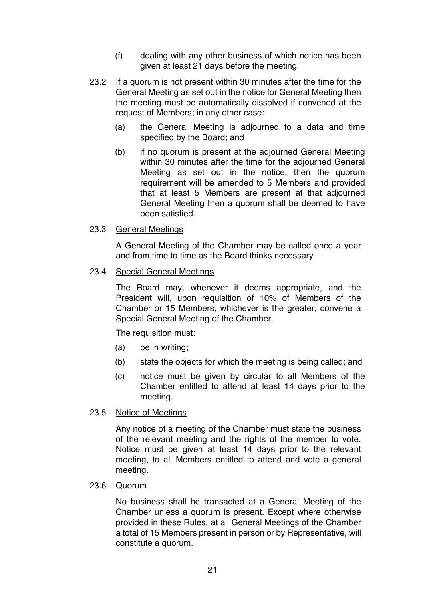- (f) dealing with any other business of which notice has been given at least 21 days before the meeting.
- 23.2 If a quorum is not present within 30 minutes after the time for the General Meeting as set out in the notice for General Meeting then the meeting must be automatically dissolved if convened at the request of Members; in any other case:
	- (a) the General Meeting is adjourned to a data and time specified by the Board; and
	- (b) if no quorum is present at the adjourned General Meeting within 30 minutes after the time for the adjourned General Meeting as set out in the notice, then the quorum requirement will be amended to 5 Members and provided that at least 5 Members are present at that adjourned General Meeting then a quorum shall be deemed to have been satisfied.

#### 23.3 General Meetings

A General Meeting of the Chamber may be called once a year and from time to time as the Board thinks necessary

#### 23.4 Special General Meetings

The Board may, whenever it deems appropriate, and the President will, upon requisition of 10% of Members of the Chamber or 15 Members, whichever is the greater, convene a Special General Meeting of the Chamber.

The requisition must:

- (a) be in writing;
- (b) state the objects for which the meeting is being called; and
- (c) notice must be given by circular to all Members of the Chamber entitled to attend at least 14 days prior to the meeting.

#### 23.5 Notice of Meetings

Any notice of a meeting of the Chamber must state the business of the relevant meeting and the rights of the member to vote. Notice must be given at least 14 days prior to the relevant meeting, to all Members entitled to attend and vote a general meeting.

#### 23.6 Quorum

No business shall be transacted at a General Meeting of the Chamber unless a quorum is present. Except where otherwise provided in these Rules, at all General Meetings of the Chamber a total of 15 Members present in person or by Representative, will constitute a quorum.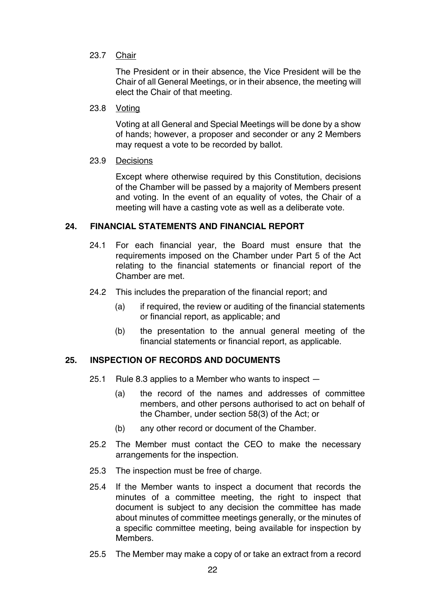# 23.7 Chair

The President or in their absence, the Vice President will be the Chair of all General Meetings, or in their absence, the meeting will elect the Chair of that meeting.

#### 23.8 Voting

Voting at all General and Special Meetings will be done by a show of hands; however, a proposer and seconder or any 2 Members may request a vote to be recorded by ballot.

#### 23.9 Decisions

Except where otherwise required by this Constitution, decisions of the Chamber will be passed by a majority of Members present and voting. In the event of an equality of votes, the Chair of a meeting will have a casting vote as well as a deliberate vote.

# **24. FINANCIAL STATEMENTS AND FINANCIAL REPORT**

- 24.1 For each financial year, the Board must ensure that the requirements imposed on the Chamber under Part 5 of the Act relating to the financial statements or financial report of the Chamber are met.
- 24.2 This includes the preparation of the financial report; and
	- (a) if required, the review or auditing of the financial statements or financial report, as applicable; and
	- (b) the presentation to the annual general meeting of the financial statements or financial report, as applicable.

# **25. INSPECTION OF RECORDS AND DOCUMENTS**

- 25.1 Rule 8.3 applies to a Member who wants to inspect
	- (a) the record of the names and addresses of committee members, and other persons authorised to act on behalf of the Chamber, under section 58(3) of the Act; or
	- (b) any other record or document of the Chamber.
- 25.2 The Member must contact the CEO to make the necessary arrangements for the inspection.
- 25.3 The inspection must be free of charge.
- 25.4 If the Member wants to inspect a document that records the minutes of a committee meeting, the right to inspect that document is subject to any decision the committee has made about minutes of committee meetings generally, or the minutes of a specific committee meeting, being available for inspection by **Members**
- 25.5 The Member may make a copy of or take an extract from a record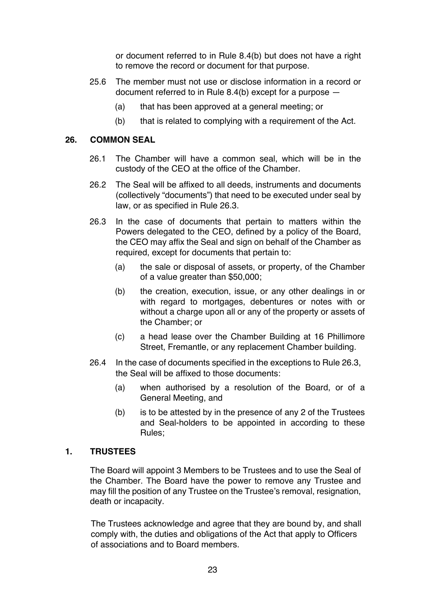or document referred to in Rule 8.4(b) but does not have a right to remove the record or document for that purpose.

- 25.6 The member must not use or disclose information in a record or document referred to in Rule 8.4(b) except for a purpose —
	- (a) that has been approved at a general meeting; or
	- (b) that is related to complying with a requirement of the Act.

# **26. COMMON SEAL**

- 26.1 The Chamber will have a common seal, which will be in the custody of the CEO at the office of the Chamber.
- 26.2 The Seal will be affixed to all deeds, instruments and documents (collectively "documents") that need to be executed under seal by law, or as specified in Rule 26.3.
- 26.3 In the case of documents that pertain to matters within the Powers delegated to the CEO, defined by a policy of the Board, the CEO may affix the Seal and sign on behalf of the Chamber as required, except for documents that pertain to:
	- (a) the sale or disposal of assets, or property, of the Chamber of a value greater than \$50,000;
	- (b) the creation, execution, issue, or any other dealings in or with regard to mortgages, debentures or notes with or without a charge upon all or any of the property or assets of the Chamber; or
	- (c) a head lease over the Chamber Building at 16 Phillimore Street, Fremantle, or any replacement Chamber building.
- 26.4 In the case of documents specified in the exceptions to Rule 26.3, the Seal will be affixed to those documents:
	- (a) when authorised by a resolution of the Board, or of a General Meeting, and
	- (b) is to be attested by in the presence of any 2 of the Trustees and Seal-holders to be appointed in according to these Rules;

# **1. TRUSTEES**

The Board will appoint 3 Members to be Trustees and to use the Seal of the Chamber. The Board have the power to remove any Trustee and may fill the position of any Trustee on the Trustee's removal, resignation, death or incapacity.

The Trustees acknowledge and agree that they are bound by, and shall comply with, the duties and obligations of the Act that apply to Officers of associations and to Board members.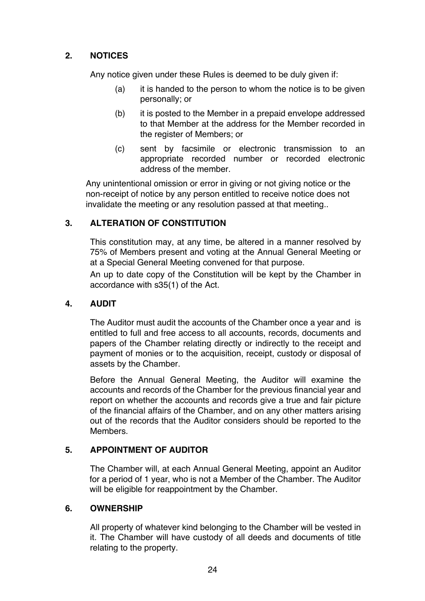# **2. NOTICES**

Any notice given under these Rules is deemed to be duly given if:

- (a) it is handed to the person to whom the notice is to be given personally; or
- (b) it is posted to the Member in a prepaid envelope addressed to that Member at the address for the Member recorded in the register of Members; or
- (c) sent by facsimile or electronic transmission to an appropriate recorded number or recorded electronic address of the member.

Any unintentional omission or error in giving or not giving notice or the non-receipt of notice by any person entitled to receive notice does not invalidate the meeting or any resolution passed at that meeting..

# **3. ALTERATION OF CONSTITUTION**

This constitution may, at any time, be altered in a manner resolved by 75% of Members present and voting at the Annual General Meeting or at a Special General Meeting convened for that purpose.

An up to date copy of the Constitution will be kept by the Chamber in accordance with s35(1) of the Act.

# **4. AUDIT**

The Auditor must audit the accounts of the Chamber once a year and is entitled to full and free access to all accounts, records, documents and papers of the Chamber relating directly or indirectly to the receipt and payment of monies or to the acquisition, receipt, custody or disposal of assets by the Chamber.

Before the Annual General Meeting, the Auditor will examine the accounts and records of the Chamber for the previous financial year and report on whether the accounts and records give a true and fair picture of the financial affairs of the Chamber, and on any other matters arising out of the records that the Auditor considers should be reported to the Members.

# **5. APPOINTMENT OF AUDITOR**

The Chamber will, at each Annual General Meeting, appoint an Auditor for a period of 1 year, who is not a Member of the Chamber. The Auditor will be eligible for reappointment by the Chamber.

# **6. OWNERSHIP**

All property of whatever kind belonging to the Chamber will be vested in it. The Chamber will have custody of all deeds and documents of title relating to the property.